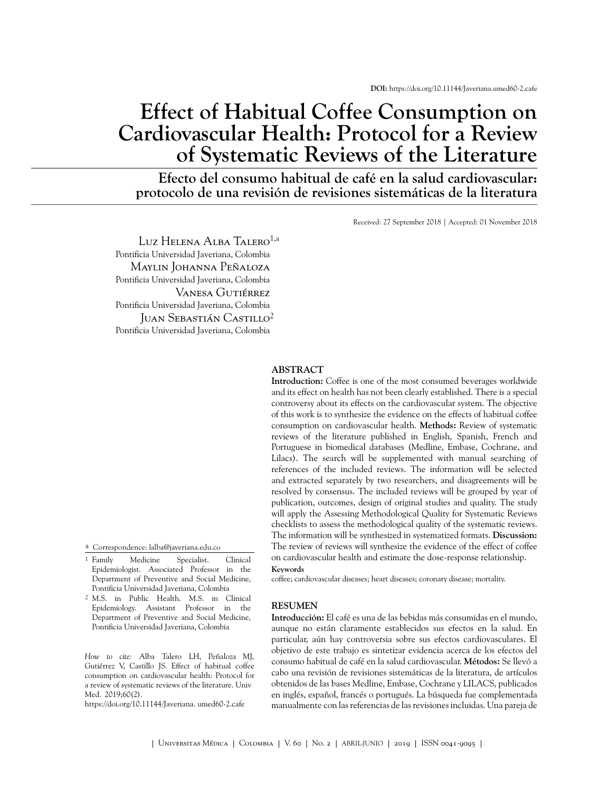# **Effect of Habitual Coffee Consumption on Cardiovascular Health: Protocol for a Review of Systematic Reviews of the Literature**

**Efecto del consumo habitual de café en la salud cardiovascular: protocolo de una revisión de revisiones sistemáticas de la literatura**

Received: 27 September 2018 | Accepted: 01 November 2018

Luz Helena Alba Talero<sup>1,a</sup> Pontificia Universidad Javeriana, Colombia Maylin Johanna Peñaloza Pontificia Universidad Javeriana, Colombia Vanesa Gutiérrez Pontificia Universidad Javeriana, Colombia Juan Sebastián Castillo<sup>2</sup> Pontificia Universidad Javeriana, Colombia

a Correspondence: lalba@javeriana.edu.co

- <sup>1</sup> Family Family Medicine Specialist. Clinical Epidemiologist. Associated Professor in the Department of Preventive and Social Medicine, Pontificia Universidad Javeriana, Colombia
- 2 M.S. in Public Health. M.S. in Clinical Epidemiology. Assistant Professor in the Department of Preventive and Social Medicine, Pontificia Universidad Javeriana, Colombia

*How to cite:* Alba Talero LH, Peñaloza MJ, Gutiérrez V, Castillo JS. Effect of habitual coffee consumption on cardiovascular health: Protocol for a review of systematic reviews of the literature. Univ Med. 2019;60(2).

[https://doi.org/10.11144/Javeria](https://dx.doi.org/10.11144/Javeriana.umed60-2.caf�)na. [umed60-2.caf](https://dx.doi.org/10.11144/Javeriana.umed60-2.caf�)e

#### **ABSTRACT**

**Introduction:** Coffee is one of the most consumed beverages worldwide and its effect on health has not been clearly established. There is a special controversy about its effects on the cardiovascular system. The objective of this work is to synthesize the evidence on the effects of habitual coffee consumption on cardiovascular health. **Methods:** Review of systematic reviews of the literature published in English, Spanish, French and Portuguese in biomedical databases (Medline, Embase, Cochrane, and Lilacs). The search will be supplemented with manual searching of references of the included reviews. The information will be selected and extracted separately by two researchers, and disagreements will be resolved by consensus. The included reviews will be grouped by year of publication, outcomes, design of original studies and quality. The study will apply the Assessing Methodological Quality for Systematic Reviews checklists to assess the methodological quality of the systematic reviews. The information will be synthesized in systematized formats. **Discussion:** The review of reviews will synthesize the evidence of the effect of coffee on cardiovascular health and estimate the dose-response relationship.

#### **Keywords**

coffee; cardiovascular diseases; heart diseases; coronary disease; mortality.

#### **RESUMEN**

**Introducción:** El café es una de las bebidas más consumidas en el mundo, aunque no están claramente establecidos sus efectos en la salud. En particular, aún hay controversia sobre sus efectos cardiovasculares. El objetivo de este trabajo es sintetizar evidencia acerca de los efectos del consumo habitual de café en la salud cardiovascular. **Métodos:** Se llevó a cabo una revisión de revisiones sistemáticas de la literatura, de artículos obtenidos de las bases Medline, Embase, Cochrane y LILACS, publicados en inglés, español, francés o portugués. La búsqueda fue complementada manualmente con las referencias de las revisiones incluidas. Una pareja de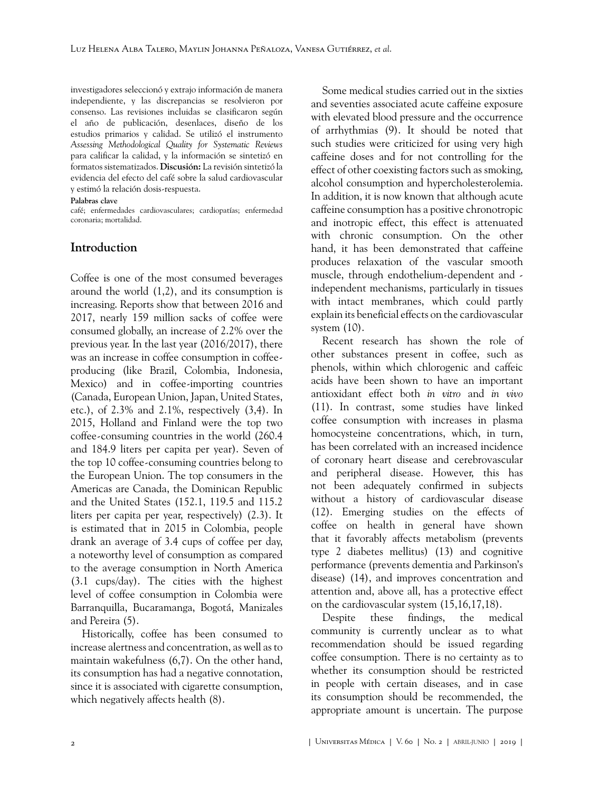investigadores seleccionó y extrajo información de manera independiente, y las discrepancias se resolvieron por consenso. Las revisiones incluidas se clasificaron según el año de publicación, desenlaces, diseño de los estudios primarios y calidad. Se utilizó el instrumento *Assessing Methodological Quality for Systematic Reviews* para calificar la calidad, y la información se sintetizó en formatos sistematizados. **Discusión:** La revisión sintetizó la evidencia del efecto del café sobre la salud cardiovascular y estimó la relación dosis-respuesta.

#### **Palabras clave**

café; enfermedades cardiovasculares; cardiopatías; enfermedad coronaria; mortalidad.

## **Introduction**

Coffee is one of the most consumed beverages around the world [\(1,](#page-3-0)[2\)](#page-3-1), and its consumption is increasing. Reports show that between 2016 and 2017, nearly 159 million sacks of coffee were consumed globally, an increase of 2.2% over the previous year. In the last year (2016/2017), there was an increase in coffee consumption in coffeeproducing (like Brazil, Colombia, Indonesia, Mexico) and in coffee-importing countries (Canada, European Union, Japan, United States, etc.), of 2.3% and 2.1%, respectively ([3](#page-4-0)[,4\)](#page-4-1). In 2015, Holland and Finland were the top two coffee-consuming countries in the world (260.4 and 184.9 liters per capita per year). Seven of the top 10 coffee-consuming countries belong to the European Union. The top consumers in the Americas are Canada, the Dominican Republic and the United States (152.1, 119.5 and 115.2 liters per capita per year, respectively) ([2](#page-3-1).[3](#page-4-0)). It is estimated that in 2015 in Colombia, people drank an average of 3.4 cups of coffee per day, a noteworthy level of consumption as compared to the average consumption in North America (3.1 cups/day). The cities with the highest level of coffee consumption in Colombia were Barranquilla, Bucaramanga, Bogotá, Manizales and Pereira [\(5\)](#page-4-2).

Historically, coffee has been consumed to increase alertness and concentration, as well as to maintain wakefulness ([6](#page-4-3),[7](#page-4-4)). On the other hand, its consumption has had a negative connotation, since it is associated with cigarette consumption, which negatively affects health [\(8\)](#page-4-5).

Some medical studies carried out in the sixties and seventies associated acute caffeine exposure with elevated blood pressure and the occurrence of arrhythmias ([9](#page-4-6)). It should be noted that such studies were criticized for using very high caffeine doses and for not controlling for the effect of other coexisting factors such as smoking, alcohol consumption and hypercholesterolemia. In addition, it is now known that although acute caffeine consumption has a positive chronotropic and inotropic effect, this effect is attenuated with chronic consumption. On the other hand, it has been demonstrated that caffeine produces relaxation of the vascular smooth muscle, through endothelium-dependent and independent mechanisms, particularly in tissues with intact membranes, which could partly explain its beneficial effects on the cardiovascular system ([10\)](#page-4-7).

Recent research has shown the role of other substances present in coffee, such as phenols, within which chlorogenic and caffeic acids have been shown to have an important antioxidant effect both *in vitro* and *in vivo* ([11\)](#page-4-8). In contrast, some studies have linked coffee consumption with increases in plasma homocysteine concentrations, which, in turn, has been correlated with an increased incidence of coronary heart disease and cerebrovascular and peripheral disease. However, this has not been adequately confirmed in subjects without a history of cardiovascular disease ([12\)](#page-4-9). Emerging studies on the effects of coffee on health in general have shown that it favorably affects metabolism (prevents type 2 diabetes mellitus) ([13\)](#page-4-10) and cognitive performance (prevents dementia and Parkinson's disease) ([14\)](#page-4-11), and improves concentration and attention and, above all, has a protective effect on the cardiovascular system ([15,](#page-4-12)[16](#page-4-13)[,17](#page-4-14),[18\)](#page-4-15).

Despite these findings, the medical community is currently unclear as to what recommendation should be issued regarding coffee consumption. There is no certainty as to whether its consumption should be restricted in people with certain diseases, and in case its consumption should be recommended, the appropriate amount is uncertain. The purpose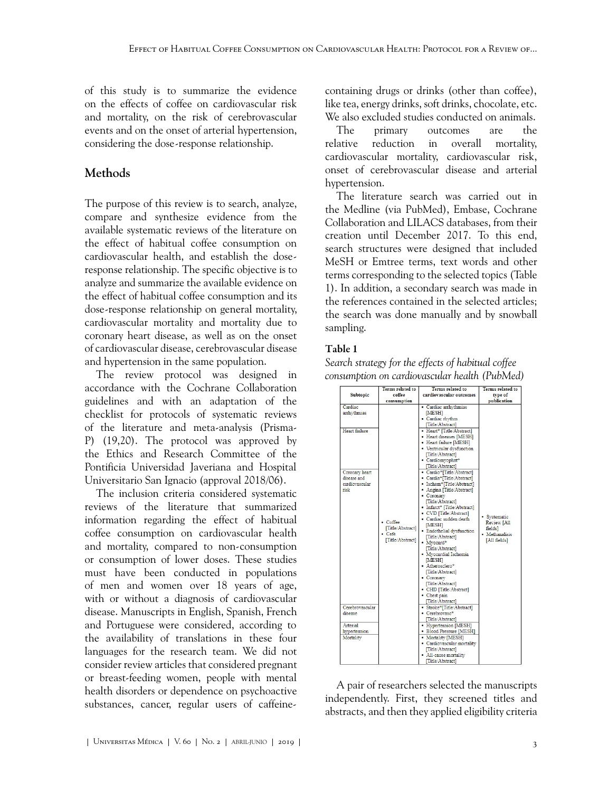of this study is to summarize the evidence on the effects of coffee on cardiovascular risk and mortality, on the risk of cerebrovascular events and on the onset of arterial hypertension, considering the dose-response relationship.

# **Methods**

The purpose of this review is to search, analyze, compare and synthesize evidence from the available systematic reviews of the literature on the effect of habitual coffee consumption on cardiovascular health, and establish the doseresponse relationship. The specific objective is to analyze and summarize the available evidence on the effect of habitual coffee consumption and its dose-response relationship on general mortality, cardiovascular mortality and mortality due to coronary heart disease, as well as on the onset of cardiovascular disease, cerebrovascular disease and hypertension in the same population.

The review protocol was designed in accordance with the Cochrane Collaboration guidelines and with an adaptation of the checklist for protocols of systematic reviews of the literature and meta-analysis (Prisma-P) ([19](#page-5-0)[,20](#page-5-1)). The protocol was approved by the Ethics and Research Committee of the Pontificia Universidad Javeriana and Hospital Universitario San Ignacio (approval 2018/06).

The inclusion criteria considered systematic reviews of the literature that summarized information regarding the effect of habitual coffee consumption on cardiovascular health and mortality, compared to non-consumption or consumption of lower doses. These studies must have been conducted in populations of men and women over 18 years of age, with or without a diagnosis of cardiovascular disease. Manuscripts in English, Spanish, French and Portuguese were considered, according to the availability of translations in these four languages for the research team. We did not consider review articles that considered pregnant or breast-feeding women, people with mental health disorders or dependence on psychoactive substances, cancer, regular users of caffeinecontaining drugs or drinks (other than coffee), like tea, energy drinks, soft drinks, chocolate, etc. We also excluded studies conducted on animals.

The primary outcomes are the relative reduction in overall mortality, cardiovascular mortality, cardiovascular risk, onset of cerebrovascular disease and arterial hypertension.

The literature search was carried out in the Medline (via PubMed), Embase, Cochrane Collaboration and LILACS databases, from their creation until December 2017. To this end, search structures were designed that included MeSH or Emtree terms, text words and other terms corresponding to the selected topics ([Table](#page-2-0) [1](#page-2-0)). In addition, a secondary search was made in the references contained in the selected articles; the search was done manually and by snowball sampling.

# <span id="page-2-0"></span>Table 1

*Search strategy for the effects of habitual coffee consumption on cardiovascular health (PubMed)*

| <b>Subtopic</b>                                                                                    | <b>Terms related to</b><br>coffee<br>consumption           | <b>Terms</b> related to<br>cardiovascular outcomes                                                                                                                                                                                                                                                                                                                                                                                                                                                                                                                                                                                                                                    | <b>Terms related to</b><br>type of<br>publication                        |
|----------------------------------------------------------------------------------------------------|------------------------------------------------------------|---------------------------------------------------------------------------------------------------------------------------------------------------------------------------------------------------------------------------------------------------------------------------------------------------------------------------------------------------------------------------------------------------------------------------------------------------------------------------------------------------------------------------------------------------------------------------------------------------------------------------------------------------------------------------------------|--------------------------------------------------------------------------|
| Cardiac<br>arrhythmias<br>Heart failure<br>Coronary heart<br>disease and<br>cardiovascular<br>risk | • Coffee<br>[Title/Abstract]<br>• Cafe<br>[Title/Abstract] | • Cardiac arrhythmias<br>[MESH]<br>· Cardiac rhythm<br>[Title/Abstract]<br>• Heart* [Title/Abstract]<br>• Heart diseases [MESH]<br>• Heart failure [MESH]<br>• Ventricular dysfunction<br>[Title/Abstract]<br>· Cardiomyophat*<br>[Title/Abstract]<br>• Cardio*[Title/Abstract]<br>• Cardia*[Title/Abstract]<br>· Ischem*[Title/Abstract]<br>• Angina [Title/Abstract]<br>• Coronary<br>[Title/Abstract]<br>• Infarct* [Title/Abstract]<br>• CVD [Title/Abstract]<br>· Cardiac sudden death<br>[MESH]<br>· Endothelial dysfunction<br>[Title/Abstract]<br>· Myocard*<br>[Title/Abstract]<br>• Myocardial Ischemia<br><b>MESH</b><br>• Atherosclero*<br>[Title/Abstract]<br>• Coronary | · Systematic<br>Review [All<br>fieldsl<br>· Methanalisis<br>[All fields] |
| Cerebrovascular                                                                                    |                                                            | [Title/Abstract]<br>• CHD [Title/Abstract]<br>• Chest pain<br>[Title/Abstract]<br>· Stroke*[Title/Abstract]                                                                                                                                                                                                                                                                                                                                                                                                                                                                                                                                                                           |                                                                          |
| disease<br>Arterial                                                                                |                                                            | • Cerebrovasc*<br>[Title/Abstract]<br>• Hypertension [MESH]                                                                                                                                                                                                                                                                                                                                                                                                                                                                                                                                                                                                                           |                                                                          |
| hypertension<br>Mortality                                                                          |                                                            | • Blood Pressure [MESH]<br>• Mortality [MESH]<br>• Cardiovascular mortality<br>[Title/Abstract]<br>• All-cause mortality<br><b>ETGAL CASSASSING</b>                                                                                                                                                                                                                                                                                                                                                                                                                                                                                                                                   |                                                                          |

A pair of researchers selected the manuscripts independently. First, they screened titles and abstracts, and then they applied eligibility criteria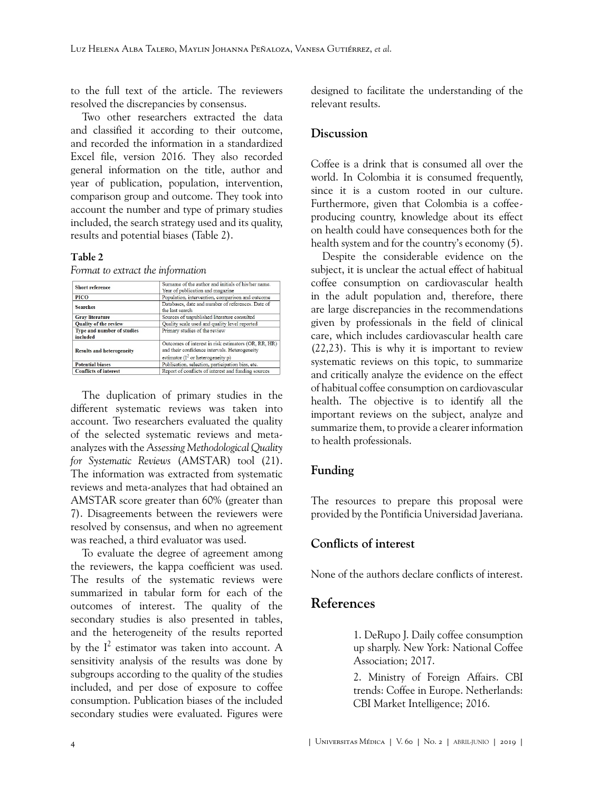to the full text of the article. The reviewers resolved the discrepancies by consensus.

Two other researchers extracted the data and classified it according to their outcome, and recorded the information in a standardized Excel file, version 2016. They also recorded general information on the title, author and year of publication, population, intervention, comparison group and outcome. They took into account the number and type of primary studies included, the search strategy used and its quality, results and potential biases [\(Table 2](#page-3-2)).

#### <span id="page-3-2"></span>Table 2

*Format to extract the information*

| <b>Short reference</b>           | Surname of the author and initials of his/her name.  |  |
|----------------------------------|------------------------------------------------------|--|
|                                  | Year of publication and magazine                     |  |
| PICO                             | Population, intervention, comparison and outcome     |  |
| <b>Searches</b>                  | Databases, date and number of references. Date of    |  |
|                                  | the last search                                      |  |
| <b>Gray literature</b>           | Sources of unpublished literature consulted          |  |
| <b>Quality of the review</b>     | Quality scale used and quality level reported        |  |
| Type and number of studies       | Primary studies of the review                        |  |
| included                         |                                                      |  |
|                                  | Outcomes of interest in risk estimators (OR, RR, HR) |  |
| <b>Results and heterogeneity</b> | and their confidence intervals. Heterogeneity        |  |
|                                  | estimator ( $I^2$ or heterogeneity p)                |  |
| <b>Potential biases</b>          | Publication, selection, participation bias, etc.     |  |
| <b>Conflicts of interest</b>     | Report of conflicts of interest and funding sources  |  |

The duplication of primary studies in the different systematic reviews was taken into account. Two researchers evaluated the quality of the selected systematic reviews and metaanalyzes with the *Assessing Methodological Quality for Systematic Reviews* (AMSTAR) tool ([21\)](#page-5-2). The information was extracted from systematic reviews and meta-analyzes that had obtained an AMSTAR score greater than 60% (greater than 7). Disagreements between the reviewers were resolved by consensus, and when no agreement was reached, a third evaluator was used.

To evaluate the degree of agreement among the reviewers, the kappa coefficient was used. The results of the systematic reviews were summarized in tabular form for each of the outcomes of interest. The quality of the secondary studies is also presented in tables, and the heterogeneity of the results reported by the  $I^2$  estimator was taken into account. A sensitivity analysis of the results was done by subgroups according to the quality of the studies included, and per dose of exposure to coffee consumption. Publication biases of the included secondary studies were evaluated. Figures were

designed to facilitate the understanding of the relevant results.

### **Discussion**

Coffee is a drink that is consumed all over the world. In Colombia it is consumed frequently, since it is a custom rooted in our culture. Furthermore, given that Colombia is a coffeeproducing country, knowledge about its effect on health could have consequences both for the health system and for the country's economy [\(5\)](#page-4-2).

Despite the considerable evidence on the subject, it is unclear the actual effect of habitual coffee consumption on cardiovascular health in the adult population and, therefore, there are large discrepancies in the recommendations given by professionals in the field of clinical care, which includes cardiovascular health care ([22](#page-5-3)[,23](#page-5-4)). This is why it is important to review systematic reviews on this topic, to summarize and critically analyze the evidence on the effect of habitual coffee consumption on cardiovascular health. The objective is to identify all the important reviews on the subject, analyze and summarize them, to provide a clearer information to health professionals.

## **Funding**

The resources to prepare this proposal were provided by the Pontificia Universidad Javeriana.

## **Conflicts of interest**

None of the authors declare conflicts of interest.

# <span id="page-3-0"></span>**References**

1. DeRupo J. Daily coffee consumption up sharply. New York: National Coffee Association; 2017.

<span id="page-3-1"></span>2. Ministry of Foreign Affairs. CBI trends: Coffee in Europe. Netherlands: CBI Market Intelligence; 2016.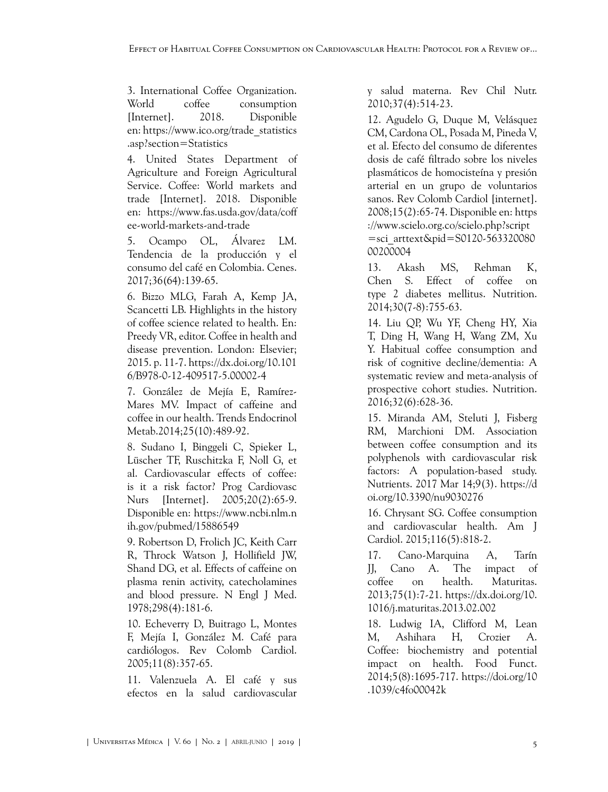<span id="page-4-0"></span>3. International Coffee Organization. World coffee consumption [Internet]. 2018. Disponible en: [https://www.ico.org/trade\\_statistics](https://www.ico.org/trade_statistics.asp?section=Statistics) [.asp?section=Statistics](https://www.ico.org/trade_statistics.asp?section=Statistics)

<span id="page-4-1"></span>4. United States Department of Agriculture and Foreign Agricultural Service. Coffee: World markets and trade [Internet]. 2018. Disponible en: [https://www.fas.usda.gov/data/coff](https://www.fas.usda.gov/data/coffee-world-markets-and-trade) [ee-world-markets-and-trade](https://www.fas.usda.gov/data/coffee-world-markets-and-trade)

<span id="page-4-2"></span>5. Ocampo OL, Álvarez LM. Tendencia de la producción y el consumo del café en Colombia. Cenes. 2017;36(64):139-65.

<span id="page-4-3"></span>6. Bizzo MLG, Farah A, Kemp JA, Scancetti LB. Highlights in the history of coffee science related to health. En: Preedy VR, editor. Coffee in health and disease prevention. London: Elsevier; 2015. p. 11-7. [https://dx.doi.org/10.101](https://dx.doi.org/10.1016/B978-0-12-409517-5.00002-4) [6/B978-0-12-409517-5.00002-4](https://dx.doi.org/10.1016/B978-0-12-409517-5.00002-4)

<span id="page-4-4"></span>7. González de Mejía E, Ramírez-Mares MV. Impact of caffeine and coffee in our health. Trends Endocrinol Metab.2014;25(10):489-92.

<span id="page-4-5"></span>8. Sudano I, Binggeli C, Spieker L, Lüscher TF, Ruschitzka F, Noll G, et al. Cardiovascular effects of coffee: is it a risk factor? Prog Cardiovasc Nurs [Internet]. 2005;20(2):65-9. Disponible en: [https://www.ncbi.nlm.n](https://www.ncbi.nlm.nih.gov/pubmed/15886549) [ih.gov/pubmed/15886549](https://www.ncbi.nlm.nih.gov/pubmed/15886549)

<span id="page-4-6"></span>9. Robertson D, Frolich JC, Keith Carr R, Throck Watson J, Hollifield JW, Shand DG, et al. Effects of caffeine on plasma renin activity, catecholamines and blood pressure. N Engl J Med. 1978;298(4):181-6.

<span id="page-4-7"></span>10. Echeverry D, Buitrago L, Montes F, Mejía I, González M. Café para cardiólogos. Rev Colomb Cardiol. 2005;11(8):357-65.

<span id="page-4-8"></span>11. Valenzuela A. El café y sus efectos en la salud cardiovascular

y salud materna. Rev Chil Nutr. 2010;37(4):514-23.

<span id="page-4-9"></span>12. Agudelo G, Duque M, Velásquez CM, Cardona OL, Posada M, Pineda V, et al. Efecto del consumo de diferentes dosis de café filtrado sobre los niveles plasmáticos de homocisteína y presión arterial en un grupo de voluntarios sanos. Rev Colomb Cardiol [internet]. 2008;15(2):65-74. Disponible en: [https](https://www.scielo.org.co/scielo.php?script=sci_arttext&pid=S0120-56332008000200004) [://www.scielo.org.co/scielo.php?script](https://www.scielo.org.co/scielo.php?script=sci_arttext&pid=S0120-56332008000200004) [=sci\\_arttext&pid=S0120-563320080](https://www.scielo.org.co/scielo.php?script=sci_arttext&pid=S0120-56332008000200004) [00200004](https://www.scielo.org.co/scielo.php?script=sci_arttext&pid=S0120-56332008000200004)

<span id="page-4-10"></span>13. Akash MS, Rehman K, Chen S. Effect of coffee on type 2 diabetes mellitus. Nutrition. 2014;30(7-8):755-63.

<span id="page-4-11"></span>14. Liu QP, Wu YF, Cheng HY, Xia T, Ding H, Wang H, Wang ZM, Xu Y. Habitual coffee consumption and risk of cognitive decline/dementia: A systematic review and meta-analysis of prospective cohort studies. Nutrition. 2016;32(6):628-36.

<span id="page-4-12"></span>15. Miranda AM, Steluti J, Fisberg RM, Marchioni DM. Association between coffee consumption and its polyphenols with cardiovascular risk factors: A population-based study. Nutrients. 2017 Mar 14;9(3). [https://d](https://doi.org/10.3390/nu9030276) [oi.org/10.3390/nu9030276](https://doi.org/10.3390/nu9030276)

<span id="page-4-13"></span>16. Chrysant SG. Coffee consumption and cardiovascular health. Am J Cardiol. 2015;116(5):818-2.

<span id="page-4-14"></span>17. Cano-Marquina A, Tarín JJ, Cano A. The impact of coffee on health. Maturitas. 2013;75(1):7-21. [https://dx.doi.org/10.](https://dx.doi.org/10.1016/j.maturitas.2013.02.002) [1016/j.maturitas.2013.02.002](https://dx.doi.org/10.1016/j.maturitas.2013.02.002)

<span id="page-4-15"></span>18. Ludwig IA, Clifford M, Lean M, Ashihara H, Crozier A. Coffee: biochemistry and potential impact on health. Food Funct. 2014;5(8):1695-717. [https://doi.org/10](https://doi.org/10.1039/c4fo00042k) [.1039/c4fo00042k](https://doi.org/10.1039/c4fo00042k)